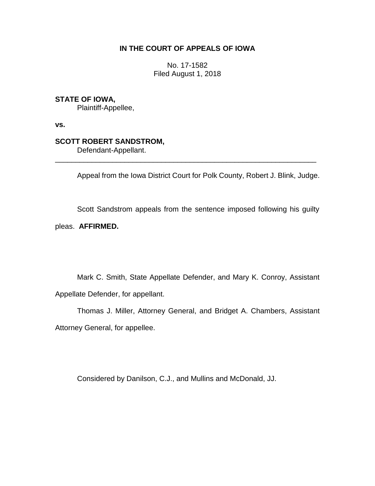# **IN THE COURT OF APPEALS OF IOWA**

No. 17-1582 Filed August 1, 2018

# **STATE OF IOWA,**

Plaintiff-Appellee,

**vs.**

## **SCOTT ROBERT SANDSTROM,**

Defendant-Appellant.

Appeal from the Iowa District Court for Polk County, Robert J. Blink, Judge.

\_\_\_\_\_\_\_\_\_\_\_\_\_\_\_\_\_\_\_\_\_\_\_\_\_\_\_\_\_\_\_\_\_\_\_\_\_\_\_\_\_\_\_\_\_\_\_\_\_\_\_\_\_\_\_\_\_\_\_\_\_\_\_\_

Scott Sandstrom appeals from the sentence imposed following his guilty

### pleas. **AFFIRMED.**

Mark C. Smith, State Appellate Defender, and Mary K. Conroy, Assistant Appellate Defender, for appellant.

Thomas J. Miller, Attorney General, and Bridget A. Chambers, Assistant Attorney General, for appellee.

Considered by Danilson, C.J., and Mullins and McDonald, JJ.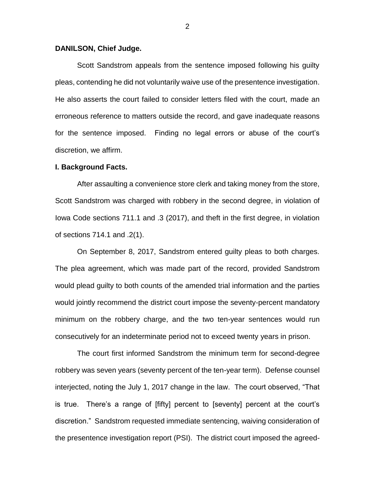#### **DANILSON, Chief Judge.**

Scott Sandstrom appeals from the sentence imposed following his guilty pleas, contending he did not voluntarily waive use of the presentence investigation. He also asserts the court failed to consider letters filed with the court, made an erroneous reference to matters outside the record, and gave inadequate reasons for the sentence imposed. Finding no legal errors or abuse of the court's discretion, we affirm.

#### **I. Background Facts.**

After assaulting a convenience store clerk and taking money from the store, Scott Sandstrom was charged with robbery in the second degree, in violation of Iowa Code sections 711.1 and .3 (2017), and theft in the first degree, in violation of sections 714.1 and .2(1).

On September 8, 2017, Sandstrom entered guilty pleas to both charges. The plea agreement, which was made part of the record, provided Sandstrom would plead guilty to both counts of the amended trial information and the parties would jointly recommend the district court impose the seventy-percent mandatory minimum on the robbery charge, and the two ten-year sentences would run consecutively for an indeterminate period not to exceed twenty years in prison.

The court first informed Sandstrom the minimum term for second-degree robbery was seven years (seventy percent of the ten-year term). Defense counsel interjected, noting the July 1, 2017 change in the law. The court observed, "That is true. There's a range of [fifty] percent to [seventy] percent at the court's discretion." Sandstrom requested immediate sentencing, waiving consideration of the presentence investigation report (PSI). The district court imposed the agreed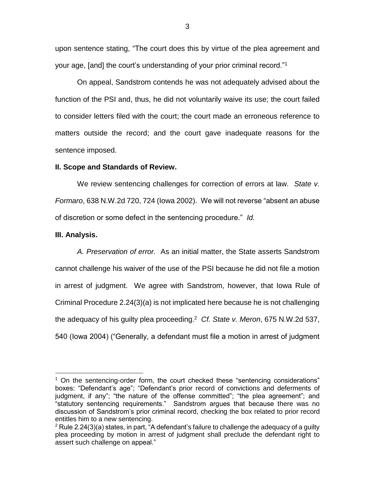upon sentence stating, "The court does this by virtue of the plea agreement and your age, [and] the court's understanding of your prior criminal record."<sup>1</sup>

On appeal, Sandstrom contends he was not adequately advised about the function of the PSI and, thus, he did not voluntarily waive its use; the court failed to consider letters filed with the court; the court made an erroneous reference to matters outside the record; and the court gave inadequate reasons for the sentence imposed.

### **II. Scope and Standards of Review.**

We review sentencing challenges for correction of errors at law. *State v. Formaro*, 638 N.W.2d 720, 724 (Iowa 2002). We will not reverse "absent an abuse of discretion or some defect in the sentencing procedure." *Id.*

### **III. Analysis.**

 $\overline{a}$ 

*A. Preservation of error.* As an initial matter, the State asserts Sandstrom cannot challenge his waiver of the use of the PSI because he did not file a motion in arrest of judgment. We agree with Sandstrom, however, that Iowa Rule of Criminal Procedure 2.24(3)(a) is not implicated here because he is not challenging the adequacy of his guilty plea proceeding. <sup>2</sup> *Cf. State v. Meron*, 675 N.W.2d 537, 540 (Iowa 2004) ("Generally, a defendant must file a motion in arrest of judgment

 $1$  On the sentencing-order form, the court checked these "sentencing considerations" boxes: "Defendant's age"; "Defendant's prior record of convictions and deferments of judgment, if any"; "the nature of the offense committed"; "the plea agreement"; and "statutory sentencing requirements." Sandstrom argues that because there was no discussion of Sandstrom's prior criminal record, checking the box related to prior record entitles him to a new sentencing.

 $2^2$  Rule 2.24(3)(a) states, in part, "A defendant's failure to challenge the adequacy of a guilty plea proceeding by motion in arrest of judgment shall preclude the defendant right to assert such challenge on appeal."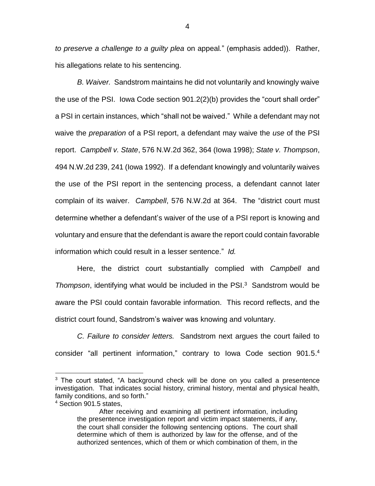*to preserve a challenge to a guilty plea* on appeal*.*" (emphasis added)). Rather, his allegations relate to his sentencing.

*B. Waiver.* Sandstrom maintains he did not voluntarily and knowingly waive the use of the PSI. Iowa Code section 901.2(2)(b) provides the "court shall order" a PSI in certain instances, which "shall not be waived." While a defendant may not waive the *preparation* of a PSI report, a defendant may waive the *use* of the PSI report. *Campbell v. State*, 576 N.W.2d 362, 364 (Iowa 1998); *State v. Thompson*, 494 N.W.2d 239, 241 (Iowa 1992). If a defendant knowingly and voluntarily waives the use of the PSI report in the sentencing process, a defendant cannot later complain of its waiver. *Campbell*, 576 N.W.2d at 364. The "district court must determine whether a defendant's waiver of the use of a PSI report is knowing and voluntary and ensure that the defendant is aware the report could contain favorable information which could result in a lesser sentence." *Id.* 

Here, the district court substantially complied with *Campbell* and Thompson, identifying what would be included in the PSI.<sup>3</sup> Sandstrom would be aware the PSI could contain favorable information. This record reflects, and the district court found, Sandstrom's waiver was knowing and voluntary.

*C. Failure to consider letters.* Sandstrom next argues the court failed to consider "all pertinent information," contrary to lowa Code section 901.5.<sup>4</sup>

 $\overline{a}$ 

 $3$  The court stated, "A background check will be done on you called a presentence investigation. That indicates social history, criminal history, mental and physical health, family conditions, and so forth."

<sup>4</sup> Section 901.5 states,

After receiving and examining all pertinent information, including the presentence investigation report and victim impact statements, if any, the court shall consider the following sentencing options. The court shall determine which of them is authorized by law for the offense, and of the authorized sentences, which of them or which combination of them, in the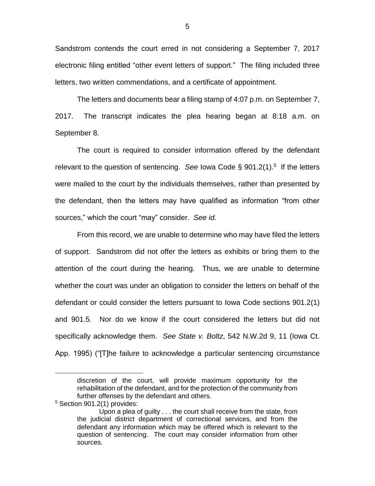Sandstrom contends the court erred in not considering a September 7, 2017 electronic filing entitled "other event letters of support." The filing included three letters, two written commendations, and a certificate of appointment.

The letters and documents bear a filing stamp of 4:07 p.m. on September 7, 2017. The transcript indicates the plea hearing began at 8:18 a.m. on September 8.

The court is required to consider information offered by the defendant relevant to the question of sentencing. *See* Iowa Code § 901.2(1).<sup>5</sup> If the letters were mailed to the court by the individuals themselves, rather than presented by the defendant, then the letters may have qualified as information "from other sources," which the court "may" consider. *See id.*

From this record, we are unable to determine who may have filed the letters of support. Sandstrom did not offer the letters as exhibits or bring them to the attention of the court during the hearing. Thus, we are unable to determine whether the court was under an obligation to consider the letters on behalf of the defendant or could consider the letters pursuant to Iowa Code sections 901.2(1) and 901.5. Nor do we know if the court considered the letters but did not specifically acknowledge them. *See State v. Boltz*, 542 N.W.2d 9, 11 (Iowa Ct. App. 1995) ("[T]he failure to acknowledge a particular sentencing circumstance

<sup>5</sup> Section 901.2(1) provides:

 $\overline{a}$ 

discretion of the court, will provide maximum opportunity for the rehabilitation of the defendant, and for the protection of the community from further offenses by the defendant and others.

Upon a plea of guilty . . . the court shall receive from the state, from the judicial district department of correctional services, and from the defendant any information which may be offered which is relevant to the question of sentencing. The court may consider information from other sources.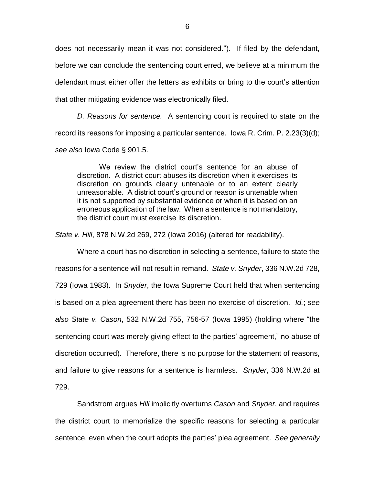does not necessarily mean it was not considered."). If filed by the defendant, before we can conclude the sentencing court erred, we believe at a minimum the defendant must either offer the letters as exhibits or bring to the court's attention that other mitigating evidence was electronically filed.

*D. Reasons for sentence.* A sentencing court is required to state on the record its reasons for imposing a particular sentence. Iowa R. Crim. P. 2.23(3)(d); *see also* Iowa Code § 901.5.

We review the district court's sentence for an abuse of discretion. A district court abuses its discretion when it exercises its discretion on grounds clearly untenable or to an extent clearly unreasonable. A district court's ground or reason is untenable when it is not supported by substantial evidence or when it is based on an erroneous application of the law. When a sentence is not mandatory, the district court must exercise its discretion.

*State v. Hill*, 878 N.W.2d 269, 272 (Iowa 2016) (altered for readability).

Where a court has no discretion in selecting a sentence, failure to state the reasons for a sentence will not result in remand. *State v. Snyder*, 336 N.W.2d 728, 729 (Iowa 1983). In *Snyder*, the Iowa Supreme Court held that when sentencing is based on a plea agreement there has been no exercise of discretion. *Id.*; *see also State v. Cason*, 532 N.W.2d 755, 756-57 (Iowa 1995) (holding where "the sentencing court was merely giving effect to the parties' agreement," no abuse of discretion occurred). Therefore, there is no purpose for the statement of reasons, and failure to give reasons for a sentence is harmless. *Snyder*, 336 N.W.2d at 729.

Sandstrom argues *Hill* implicitly overturns *Cason* and *Snyder*, and requires the district court to memorialize the specific reasons for selecting a particular sentence, even when the court adopts the parties' plea agreement. *See generally*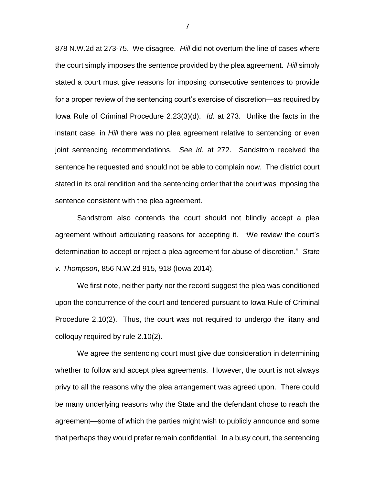878 N.W.2d at 273-75. We disagree. *Hill* did not overturn the line of cases where the court simply imposes the sentence provided by the plea agreement. *Hill* simply stated a court must give reasons for imposing consecutive sentences to provide for a proper review of the sentencing court's exercise of discretion—as required by Iowa Rule of Criminal Procedure 2.23(3)(d). *Id.* at 273. Unlike the facts in the instant case, in *Hill* there was no plea agreement relative to sentencing or even joint sentencing recommendations. *See id.* at 272. Sandstrom received the sentence he requested and should not be able to complain now. The district court stated in its oral rendition and the sentencing order that the court was imposing the sentence consistent with the plea agreement.

Sandstrom also contends the court should not blindly accept a plea agreement without articulating reasons for accepting it. "We review the court's determination to accept or reject a plea agreement for abuse of discretion." *State v. Thompson*, 856 N.W.2d 915, 918 (Iowa 2014).

We first note, neither party nor the record suggest the plea was conditioned upon the concurrence of the court and tendered pursuant to Iowa Rule of Criminal Procedure 2.10(2). Thus, the court was not required to undergo the litany and colloquy required by rule 2.10(2).

We agree the sentencing court must give due consideration in determining whether to follow and accept plea agreements. However, the court is not always privy to all the reasons why the plea arrangement was agreed upon. There could be many underlying reasons why the State and the defendant chose to reach the agreement—some of which the parties might wish to publicly announce and some that perhaps they would prefer remain confidential. In a busy court, the sentencing